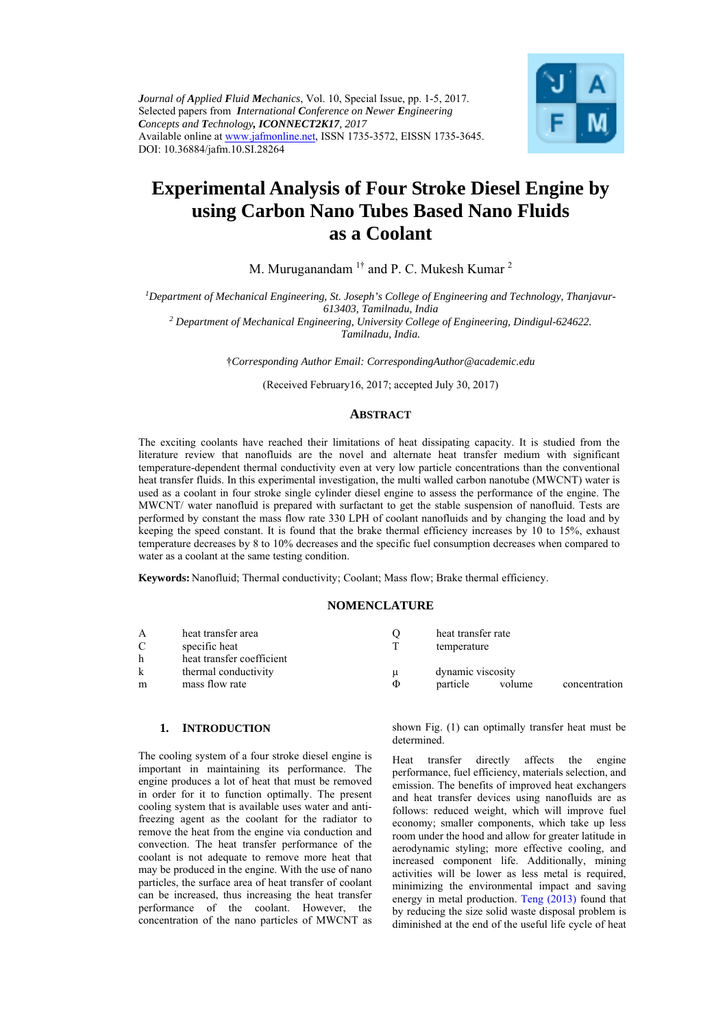*Journal of Applied Fluid Mechanics*, Vol. 10, Special Issue, pp. 1-5, 2017. Selected papers from *International Conference on Newer Engineering Concepts and Technology, ICONNECT2K17, 2017* Available online at www.jafmonline.net, ISSN 1735-3572, EISSN 1735-3645. DOI: 10.36884/jafm.10.SI.28264



# **Experimental Analysis of Four Stroke Diesel Engine by using Carbon Nano Tubes Based Nano Fluids as a Coolant**

M. Muruganandam  $1^{\dagger}$  and P. C. Mukesh Kumar <sup>2</sup>

*1Department of Mechanical Engineering, St. Joseph's College of Engineering and Technology, Thanjavur-613403, Tamilnadu, India 2 Department of Mechanical Engineering, University College of Engineering, Dindigul-624622.* 

*Tamilnadu, India.* 

†*Corresponding Author Email: CorrespondingAuthor@academic.edu* 

(Received February16, 2017; accepted July 30, 2017)

## **ABSTRACT**

The exciting coolants have reached their limitations of heat dissipating capacity. It is studied from the literature review that nanofluids are the novel and alternate heat transfer medium with significant temperature-dependent thermal conductivity even at very low particle concentrations than the conventional heat transfer fluids. In this experimental investigation, the multi walled carbon nanotube (MWCNT) water is used as a coolant in four stroke single cylinder diesel engine to assess the performance of the engine. The MWCNT/ water nanofluid is prepared with surfactant to get the stable suspension of nanofluid. Tests are performed by constant the mass flow rate 330 LPH of coolant nanofluids and by changing the load and by keeping the speed constant. It is found that the brake thermal efficiency increases by 10 to 15%, exhaust temperature decreases by 8 to 10% decreases and the specific fuel consumption decreases when compared to water as a coolant at the same testing condition.

**Keywords:** Nanofluid; Thermal conductivity; Coolant; Mass flow; Brake thermal efficiency.

## **NOMENCLATURE**

| A<br>C | heat transfer area<br>specific heat |   | heat transfer rate<br>temperature |        |               |
|--------|-------------------------------------|---|-----------------------------------|--------|---------------|
| h      | heat transfer coefficient           |   |                                   |        |               |
| k      | thermal conductivity                | u | dynamic viscosity                 |        |               |
| m      | mass flow rate                      | Φ | particle                          | volume | concentration |

#### **1. INTRODUCTION**

The cooling system of a four stroke diesel engine is important in maintaining its performance. The engine produces a lot of heat that must be removed in order for it to function optimally. The present cooling system that is available uses water and antifreezing agent as the coolant for the radiator to remove the heat from the engine via conduction and convection. The heat transfer performance of the coolant is not adequate to remove more heat that may be produced in the engine. With the use of nano particles, the surface area of heat transfer of coolant can be increased, thus increasing the heat transfer performance of the coolant. However, the concentration of the nano particles of MWCNT as

shown Fig. (1) can optimally transfer heat must be determined.

Heat transfer directly affects the engine performance, fuel efficiency, materials selection, and emission. The benefits of improved heat exchangers and heat transfer devices using nanofluids are as follows: reduced weight, which will improve fuel economy; smaller components, which take up less room under the hood and allow for greater latitude in aerodynamic styling; more effective cooling, and increased component life. Additionally, mining activities will be lower as less metal is required, minimizing the environmental impact and saving energy in metal production. Teng (2013) found that by reducing the size solid waste disposal problem is diminished at the end of the useful life cycle of heat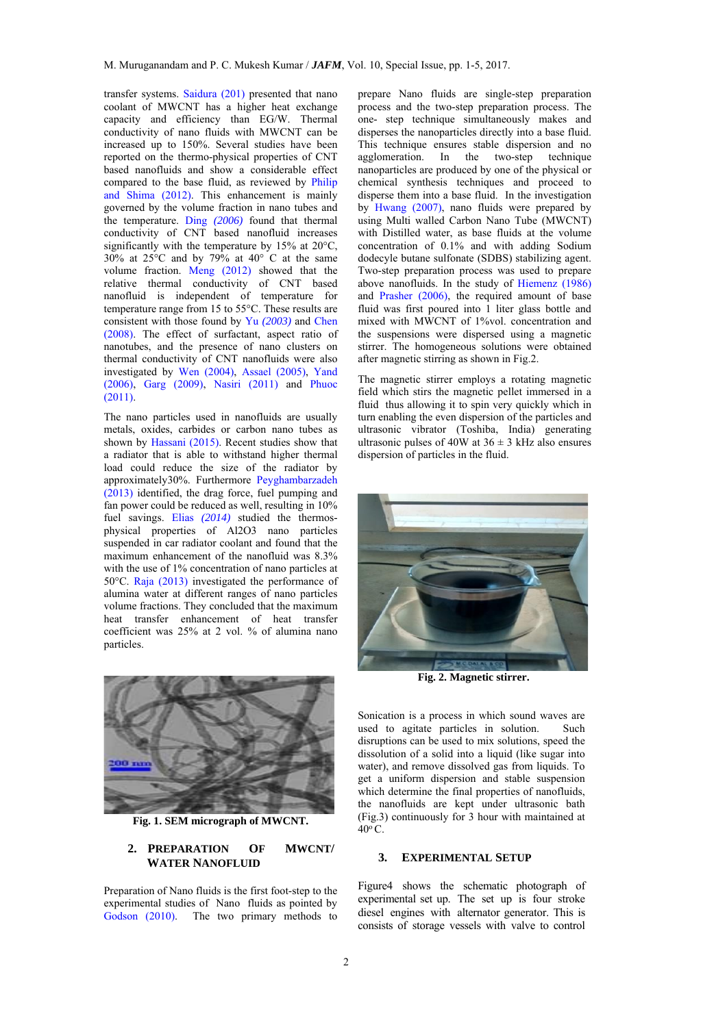transfer systems. Saidura (201) presented that nano coolant of MWCNT has a higher heat exchange capacity and efficiency than EG/W. Thermal conductivity of nano fluids with MWCNT can be increased up to 150%. Several studies have been reported on the thermo-physical properties of CNT based nanofluids and show a considerable effect compared to the base fluid, as reviewed by Philip and Shima (2012). This enhancement is mainly governed by the volume fraction in nano tubes and the temperature. Ding *(2006)* found that thermal conductivity of CNT based nanofluid increases significantly with the temperature by 15% at 20°C,  $30\%$  at  $25^{\circ}$ C and by  $79\%$  at  $40^{\circ}$  C at the same volume fraction. Meng (2012) showed that the relative thermal conductivity of CNT based nanofluid is independent of temperature for temperature range from 15 to 55°C. These results are consistent with those found by Yu *(2003)* and Chen (2008). The effect of surfactant, aspect ratio of nanotubes, and the presence of nano clusters on thermal conductivity of CNT nanofluids were also investigated by Wen (2004), Assael (2005), Yand (2006), Garg (2009), Nasiri (2011) and Phuoc  $(2011)$ 

The nano particles used in nanofluids are usually metals, oxides, carbides or carbon nano tubes as shown by Hassani (2015). Recent studies show that a radiator that is able to withstand higher thermal load could reduce the size of the radiator by approximately30%. Furthermore Peyghambarzadeh (2013) identified, the drag force, fuel pumping and fan power could be reduced as well, resulting in 10% fuel savings. Elias *(2014)* studied the thermosphysical properties of Al2O3 nano particles suspended in car radiator coolant and found that the maximum enhancement of the nanofluid was 8.3% with the use of 1% concentration of nano particles at 50°C. Raja (2013) investigated the performance of alumina water at different ranges of nano particles volume fractions. They concluded that the maximum heat transfer enhancement of heat transfer coefficient was 25% at 2 vol. % of alumina nano particles.



**Fig. 1. SEM micrograph of MWCNT.**

## **2. PREPARATION OF MWCNT/ WATER NANOFLUID**

Preparation of Nano fluids is the first foot-step to the experimental studies of Nano fluids as pointed by Godson (2010). The two primary methods to prepare Nano fluids are single-step preparation process and the two-step preparation process. The one- step technique simultaneously makes and disperses the nanoparticles directly into a base fluid. This technique ensures stable dispersion and no agglomeration. In the two-step technique nanoparticles are produced by one of the physical or chemical synthesis techniques and proceed to disperse them into a base fluid. In the investigation by Hwang (2007), nano fluids were prepared by using Multi walled Carbon Nano Tube (MWCNT) with Distilled water, as base fluids at the volume concentration of 0.1% and with adding Sodium dodecyle butane sulfonate (SDBS) stabilizing agent. Two-step preparation process was used to prepare above nanofluids. In the study of Hiemenz (1986) and Prasher (2006), the required amount of base fluid was first poured into 1 liter glass bottle and mixed with MWCNT of 1%vol. concentration and the suspensions were dispersed using a magnetic stirrer. The homogeneous solutions were obtained after magnetic stirring as shown in Fig.2.

The magnetic stirrer employs a rotating magnetic field which stirs the magnetic pellet immersed in a fluid thus allowing it to spin very quickly which in turn enabling the even dispersion of the particles and ultrasonic vibrator (Toshiba, India) generating ultrasonic pulses of 40W at  $36 \pm 3$  kHz also ensures dispersion of particles in the fluid.



**Fig. 2. Magnetic stirrer.** 

Sonication is a process in which sound waves are used to agitate particles in solution. Such disruptions can be used to mix solutions, speed the dissolution of a solid into a liquid (like sugar into water), and remove dissolved gas from liquids. To get a uniform dispersion and stable suspension which determine the final properties of nanofluids, the nanofluids are kept under ultrasonic bath (Fig.3) continuously for 3 hour with maintained at  $40^{\circ}$  C.

#### **3. EXPERIMENTAL SETUP**

Figure4 shows the schematic photograph of experimental set up. The set up is four stroke diesel engines with alternator generator. This is consists of storage vessels with valve to control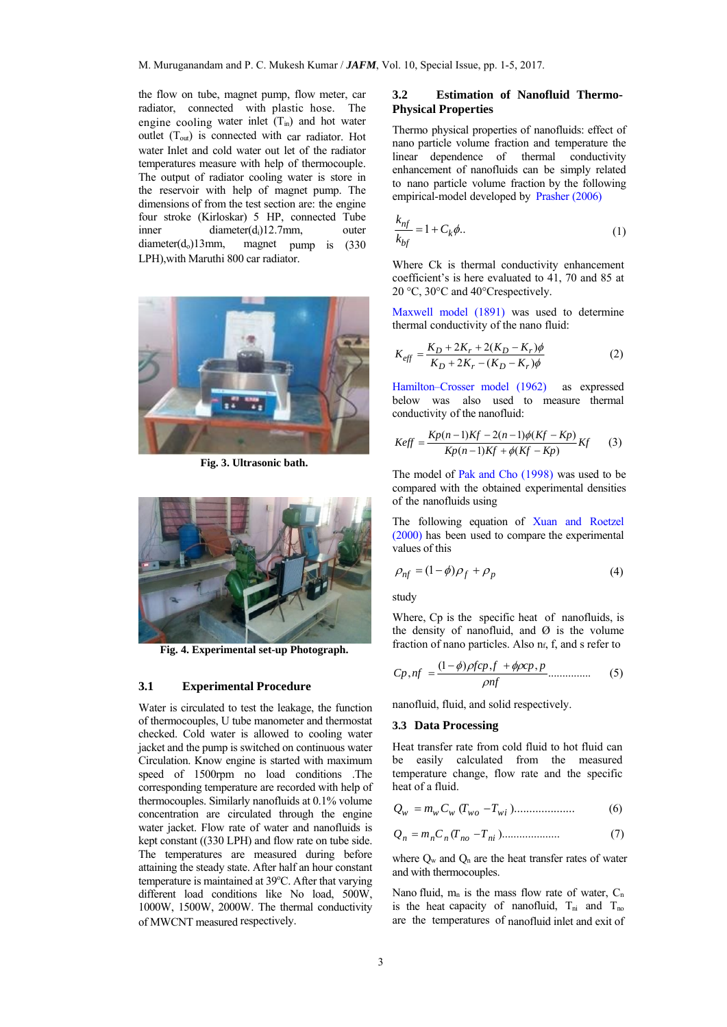the flow on tube, magnet pump, flow meter, car radiator, connected with plastic hose. The engine cooling water inlet  $(T_{in})$  and hot water outlet (Tout) is connected with car radiator. Hot water Inlet and cold water out let of the radiator temperatures measure with help of thermocouple. The output of radiator cooling water is store in the reservoir with help of magnet pump. The dimensions of from the test section are: the engine four stroke (Kirloskar) 5 HP, connected Tube inner diameter(d<sub>i</sub>)12.7mm, outer diameter(do)13mm, magnet pump is (330 LPH),with Maruthi 800 car radiator.



**Fig. 3. Ultrasonic bath.** 



**Fig. 4. Experimental set-up Photograph.** 

# **3.1 Experimental Procedure**

Water is circulated to test the leakage, the function of thermocouples, U tube manometer and thermostat checked. Cold water is allowed to cooling water jacket and the pump is switched on continuous water Circulation. Know engine is started with maximum speed of 1500rpm no load conditions .The corresponding temperature are recorded with help of thermocouples. Similarly nanofluids at 0.1% volume concentration are circulated through the engine water jacket. Flow rate of water and nanofluids is kept constant ((330 LPH) and flow rate on tube side. The temperatures are measured during before attaining the steady state. After half an hour constant temperature is maintained at 39°C. After that varying different load conditions like No load, 500W. 1000W, 1500W, 2000W. The thermal conductivity of MWCNT measured respectively.

## **3.2 Estimation of Nanofluid Thermo-Physical Properties**

Thermo physical properties of nanofluids: effect of nano particle volume fraction and temperature the linear dependence of thermal conductivity enhancement of nanofluids can be simply related to nano particle volume fraction by the following empirical-model developed by Prasher (2006)

$$
\frac{k_{nf}}{k_{bf}} = 1 + C_k \phi.
$$
 (1)

Where Ck is thermal conductivity enhancement coefficient's is here evaluated to 41, 70 and 85 at 20 °C, 30°C and 40°Crespectively.

Maxwell model (1891) was used to determine thermal conductivity of the nano fluid:

$$
K_{\text{eff}} = \frac{K_D + 2K_r + 2(K_D - K_r)\phi}{K_D + 2K_r - (K_D - K_r)\phi} \tag{2}
$$

Hamilton–Crosser model (1962) as expressed below was also used to measure thermal conductivity of the nanofluid:

$$
Keff = \frac{Kp(n-1)Kf - 2(n-1)\phi(Kf - Kp)}{Kp(n-1)Kf + \phi(Kf - Kp)}Kf
$$
 (3)

The model of Pak and Cho (1998) was used to be compared with the obtained experimental densities of the nanofluids using

The following equation of Xuan and Roetzel (2000) has been used to compare the experimental values of this

$$
\rho_{nf} = (1 - \phi)\rho_f + \rho_p \tag{4}
$$

study

Where, Cp is the specific heat of nanofluids, is the density of nanofluid, and  $\varnothing$  is the volume fraction of nano particles. Also  $n_f$ , f, and s refer to

$$
C p, nf = \frac{(1-\phi)\rho f c p, f + \phi \rho c p, p}{\rho n f} \dots \dots \dots \dots \tag{5}
$$

nanofluid, fluid, and solid respectively.

# **3.3 Data Processing**

Heat transfer rate from cold fluid to hot fluid can be easily calculated from the measured temperature change, flow rate and the specific heat of a fluid.

$$
Q_w = m_w C_w (T_{wo} - T_{wi}) \dots \dots \dots \dots \dots \dots \tag{6}
$$

$$
Q_n = m_n C_n (T_{no} - T_{ni}). \dots \dots \dots \dots \dots \dots \tag{7}
$$

where  $Q_w$  and  $Q_n$  are the heat transfer rates of water and with thermocouples.

Nano fluid,  $m_n$  is the mass flow rate of water,  $C_n$ is the heat capacity of nanofluid,  $T_{ni}$  and  $T_{no}$ are the temperatures of nanofluid inlet and exit of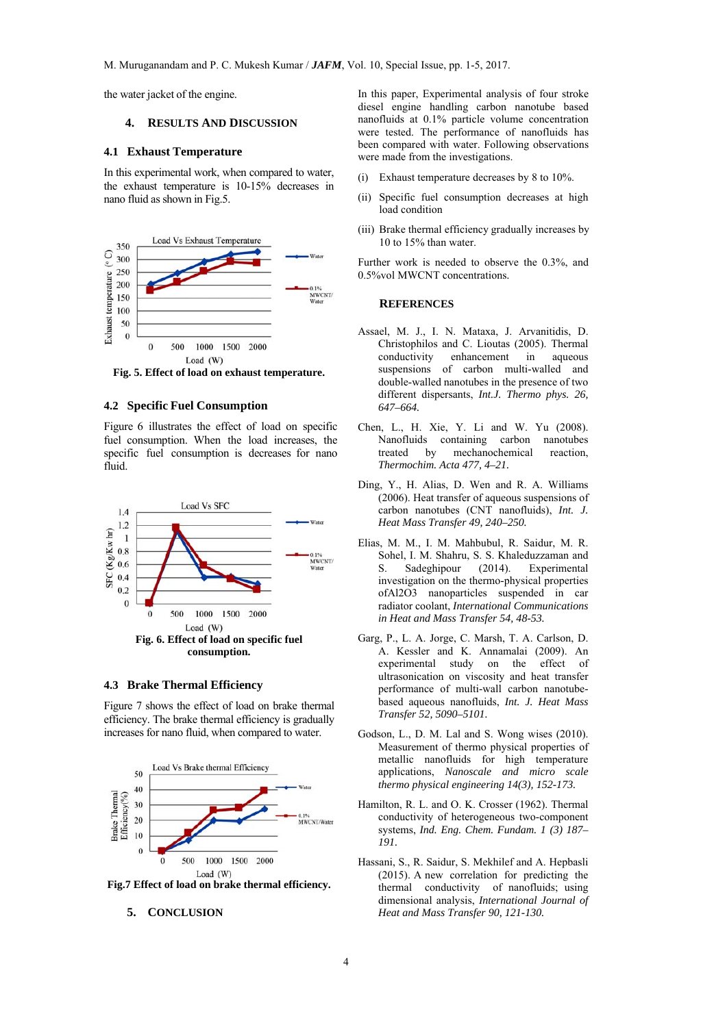the water jacket of the engine.

### **4. RESULTS AND DISCUSSION**

#### **4.1 Exhaust Temperature**

In this experimental work, when compared to water, the exhaust temperature is 10-15% decreases in nano fluid as shown in Fig.5.



**Fig. 5. Effect of load on exhaust temperature.** 

### **4.2 Specific Fuel Consumption**

Figure 6 illustrates the effect of load on specific fuel consumption. When the load increases, the specific fuel consumption is decreases for nano fluid.



## **4.3 Brake Thermal Efficiency**

Figure 7 shows the effect of load on brake thermal efficiency. The brake thermal efficiency is gradually increases for nano fluid, when compared to water.



**Fig.7 Effect of load on brake thermal efficiency.** 

#### **5. CONCLUSION**

In this paper, Experimental analysis of four stroke diesel engine handling carbon nanotube based nanofluids at 0.1% particle volume concentration were tested. The performance of nanofluids has been compared with water. Following observations were made from the investigations.

- (i) Exhaust temperature decreases by 8 to 10%.
- (ii) Specific fuel consumption decreases at high load condition
- (iii) Brake thermal efficiency gradually increases by 10 to 15% than water.

Further work is needed to observe the 0.3%, and 0.5%vol MWCNT concentrations.

#### **REFERENCES**

- Assael, M. J., I. N. Mataxa, J. Arvanitidis, D. Christophilos and C. Lioutas (2005). Thermal conductivity enhancement in aqueous suspensions of carbon multi-walled and double-walled nanotubes in the presence of two different dispersants, *Int.J. Thermo phys. 26, 647–664.*
- Chen, L., H. Xie, Y. Li and W. Yu (2008). Nanofluids containing carbon nanotubes<br>treated by mechanochemical reaction, treated by mechanochemical reaction, *Thermochim. Acta 477, 4–21.*
- Ding, Y., H. Alias, D. Wen and R. A. Williams (2006). Heat transfer of aqueous suspensions of carbon nanotubes (CNT nanofluids), *Int. J. Heat Mass Transfer 49, 240–250.*
- Elias, M. M., I. M. Mahbubul, R. Saidur, M. R. Sohel, I. M. Shahru, S. S. Khaleduzzaman and S. Sadeghipour (2014). Experimental investigation on the thermo-physical properties ofAl2O3 nanoparticles suspended in car radiator coolant, *International Communications in Heat and Mass Transfer 54, 48-53.*
- Garg, P., L. A. Jorge, C. Marsh, T. A. Carlson, D. A. Kessler and K. Annamalai (2009). An experimental study on the effect of ultrasonication on viscosity and heat transfer performance of multi-wall carbon nanotubebased aqueous nanofluids, *Int. J. Heat Mass Transfer 52, 5090–5101.*
- Godson, L., D. M. Lal and S. Wong wises (2010). Measurement of thermo physical properties of metallic nanofluids for high temperature applications, *Nanoscale and micro scale thermo physical engineering 14(3), 152-173.*
- Hamilton, R. L. and O. K. Crosser (1962). Thermal conductivity of heterogeneous two-component systems, *Ind. Eng. Chem. Fundam. 1 (3) 187– 191.*
- Hassani, S., R. Saidur, S. Mekhilef and A. Hepbasli (2015). A new correlation for predicting the thermal conductivity of nanofluids; using dimensional analysis, *International Journal of Heat and Mass Transfer 90, 121-130.*